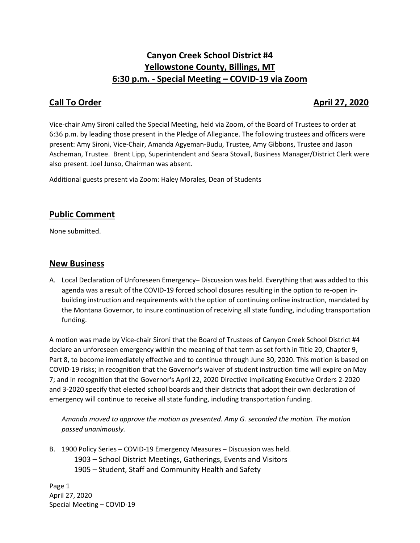# **Canyon Creek School District #4 Yellowstone County, Billings, MT 6:30 p.m. - Special Meeting – COVID-19 via Zoom**

## **Call To Order April 27, 2020**

Vice-chair Amy Sironi called the Special Meeting, held via Zoom, of the Board of Trustees to order at 6:36 p.m. by leading those present in the Pledge of Allegiance. The following trustees and officers were present: Amy Sironi, Vice-Chair, Amanda Agyeman-Budu, Trustee, Amy Gibbons, Trustee and Jason Ascheman, Trustee. Brent Lipp, Superintendent and Seara Stovall, Business Manager/District Clerk were also present. Joel Junso, Chairman was absent.

Additional guests present via Zoom: Haley Morales, Dean of Students

# **Public Comment**

None submitted.

#### **New Business**

A. Local Declaration of Unforeseen Emergency– Discussion was held. Everything that was added to this agenda was a result of the COVID-19 forced school closures resulting in the option to re-open inbuilding instruction and requirements with the option of continuing online instruction, mandated by the Montana Governor, to insure continuation of receiving all state funding, including transportation funding.

A motion was made by Vice-chair Sironi that the Board of Trustees of Canyon Creek School District #4 declare an unforeseen emergency within the meaning of that term as set forth in Title 20, Chapter 9, Part 8, to become immediately effective and to continue through June 30, 2020. This motion is based on COVID-19 risks; in recognition that the Governor's waiver of student instruction time will expire on May 7; and in recognition that the Governor's April 22, 2020 Directive implicating Executive Orders 2-2020 and 3-2020 specify that elected school boards and their districts that adopt their own declaration of emergency will continue to receive all state funding, including transportation funding.

*Amanda moved to approve the motion as presented. Amy G. seconded the motion. The motion passed unanimously.*

B. 1900 Policy Series – COVID-19 Emergency Measures – Discussion was held. 1903 – School District Meetings, Gatherings, Events and Visitors 1905 – Student, Staff and Community Health and Safety

Page 1 April 27, 2020 Special Meeting – COVID-19